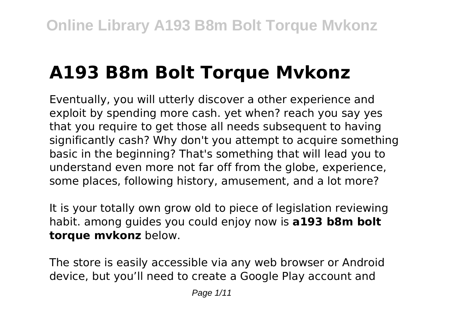# **A193 B8m Bolt Torque Mvkonz**

Eventually, you will utterly discover a other experience and exploit by spending more cash. yet when? reach you say yes that you require to get those all needs subsequent to having significantly cash? Why don't you attempt to acquire something basic in the beginning? That's something that will lead you to understand even more not far off from the globe, experience, some places, following history, amusement, and a lot more?

It is your totally own grow old to piece of legislation reviewing habit. among guides you could enjoy now is **a193 b8m bolt torque mvkonz** below.

The store is easily accessible via any web browser or Android device, but you'll need to create a Google Play account and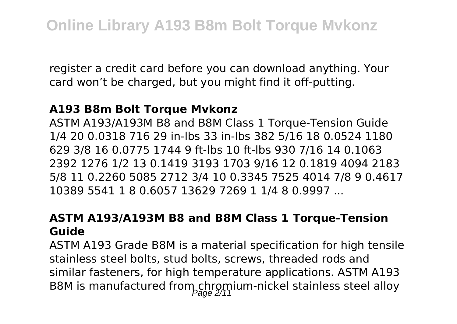register a credit card before you can download anything. Your card won't be charged, but you might find it off-putting.

#### **A193 B8m Bolt Torque Mvkonz**

ASTM A193/A193M B8 and B8M Class 1 Torque-Tension Guide 1/4 20 0.0318 716 29 in-lbs 33 in-lbs 382 5/16 18 0.0524 1180 629 3/8 16 0.0775 1744 9 ft-lbs 10 ft-lbs 930 7/16 14 0.1063 2392 1276 1/2 13 0.1419 3193 1703 9/16 12 0.1819 4094 2183 5/8 11 0.2260 5085 2712 3/4 10 0.3345 7525 4014 7/8 9 0.4617 10389 5541 1 8 0.6057 13629 7269 1 1/4 8 0.9997 ...

### **ASTM A193/A193M B8 and B8M Class 1 Torque-Tension Guide**

ASTM A193 Grade B8M is a material specification for high tensile stainless steel bolts, stud bolts, screws, threaded rods and similar fasteners, for high temperature applications. ASTM A193 B8M is manufactured from chromium-nickel stainless steel alloy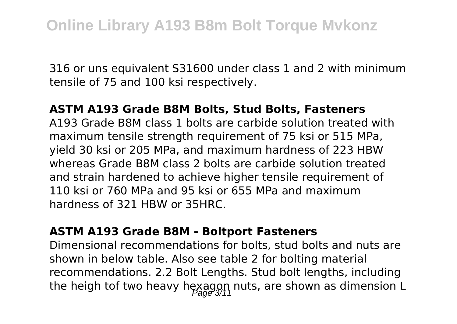316 or uns equivalent S31600 under class 1 and 2 with minimum tensile of 75 and 100 ksi respectively.

#### **ASTM A193 Grade B8M Bolts, Stud Bolts, Fasteners**

A193 Grade B8M class 1 bolts are carbide solution treated with maximum tensile strength requirement of 75 ksi or 515 MPa, yield 30 ksi or 205 MPa, and maximum hardness of 223 HBW whereas Grade B8M class 2 bolts are carbide solution treated and strain hardened to achieve higher tensile requirement of 110 ksi or 760 MPa and 95 ksi or 655 MPa and maximum hardness of 321 HBW or 35HRC.

#### **ASTM A193 Grade B8M - Boltport Fasteners**

Dimensional recommendations for bolts, stud bolts and nuts are shown in below table. Also see table 2 for bolting material recommendations. 2.2 Bolt Lengths. Stud bolt lengths, including the heigh tof two heavy hexagon nuts, are shown as dimension L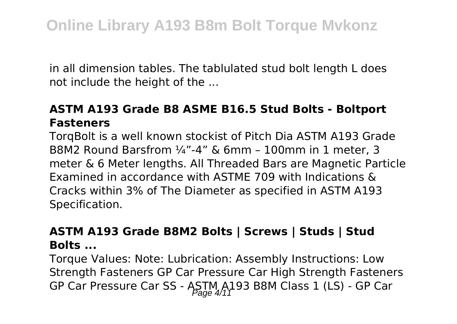in all dimension tables. The tablulated stud bolt length L does not include the height of the ...

### **ASTM A193 Grade B8 ASME B16.5 Stud Bolts - Boltport Fasteners**

TorqBolt is a well known stockist of Pitch Dia ASTM A193 Grade B8M2 Round Barsfrom ¼"-4" & 6mm – 100mm in 1 meter, 3 meter & 6 Meter lengths. All Threaded Bars are Magnetic Particle Examined in accordance with ASTME 709 with Indications & Cracks within 3% of The Diameter as specified in ASTM A193 Specification.

#### **ASTM A193 Grade B8M2 Bolts | Screws | Studs | Stud Bolts ...**

Torque Values: Note: Lubrication: Assembly Instructions: Low Strength Fasteners GP Car Pressure Car High Strength Fasteners GP Car Pressure Car SS - ASTM A193 B8M Class 1 (LS) - GP Car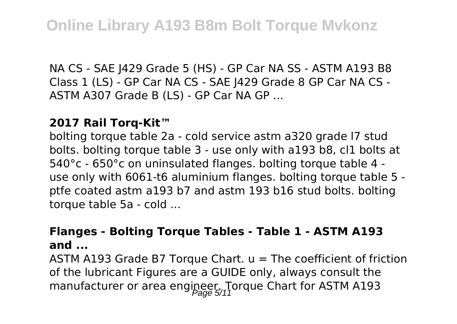NA CS - SAE J429 Grade 5 (HS) - GP Car NA SS - ASTM A193 B8 Class 1 (LS) - GP Car NA CS - SAE J429 Grade 8 GP Car NA CS - ASTM A307 Grade B (LS) - GP Car NA GP ...

#### **2017 Rail Torq-Kit™**

bolting torque table 2a - cold service astm a320 grade l7 stud bolts. bolting torque table 3 - use only with a193 b8, cl1 bolts at 540°c - 650°c on uninsulated flanges. bolting torque table 4 use only with 6061-t6 aluminium flanges. bolting torque table 5 ptfe coated astm a193 b7 and astm 193 b16 stud bolts. bolting torque table 5a - cold ...

#### **Flanges - Bolting Torque Tables - Table 1 - ASTM A193 and ...**

ASTM A193 Grade B7 Torque Chart.  $u =$  The coefficient of friction of the lubricant Figures are a GUIDE only, always consult the manufacturer or area engineer. Torque Chart for ASTM A193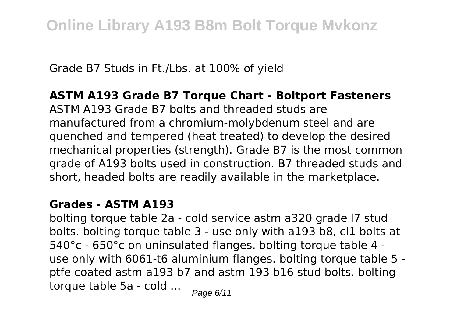Grade B7 Studs in Ft./Lbs. at 100% of yield

#### **ASTM A193 Grade B7 Torque Chart - Boltport Fasteners**

ASTM A193 Grade B7 bolts and threaded studs are manufactured from a chromium-molybdenum steel and are quenched and tempered (heat treated) to develop the desired mechanical properties (strength). Grade B7 is the most common grade of A193 bolts used in construction. B7 threaded studs and short, headed bolts are readily available in the marketplace.

#### **Grades - ASTM A193**

bolting torque table 2a - cold service astm a320 grade l7 stud bolts. bolting torque table 3 - use only with a193 b8, cl1 bolts at 540°c - 650°c on uninsulated flanges. bolting torque table 4 use only with 6061-t6 aluminium flanges. bolting torque table 5 ptfe coated astm a193 b7 and astm 193 b16 stud bolts. bolting torque table 5a - cold  $\ldots$  Page 6/11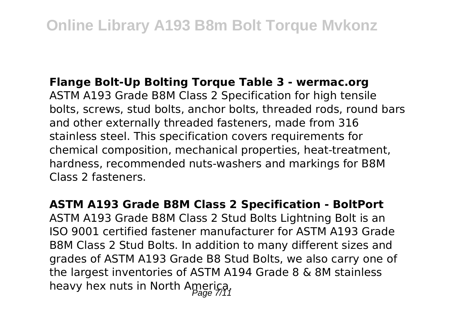#### **Flange Bolt-Up Bolting Torque Table 3 - wermac.org**

ASTM A193 Grade B8M Class 2 Specification for high tensile bolts, screws, stud bolts, anchor bolts, threaded rods, round bars and other externally threaded fasteners, made from 316 stainless steel. This specification covers requirements for chemical composition, mechanical properties, heat-treatment, hardness, recommended nuts-washers and markings for B8M Class 2 fasteners.

**ASTM A193 Grade B8M Class 2 Specification - BoltPort** ASTM A193 Grade B8M Class 2 Stud Bolts Lightning Bolt is an ISO 9001 certified fastener manufacturer for ASTM A193 Grade B8M Class 2 Stud Bolts. In addition to many different sizes and grades of ASTM A193 Grade B8 Stud Bolts, we also carry one of the largest inventories of ASTM A194 Grade 8 & 8M stainless heavy hex nuts in North America.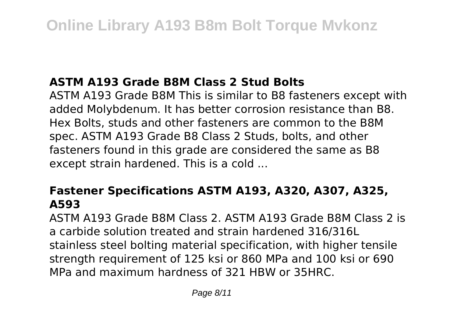# **ASTM A193 Grade B8M Class 2 Stud Bolts**

ASTM A193 Grade B8M This is similar to B8 fasteners except with added Molybdenum. It has better corrosion resistance than B8. Hex Bolts, studs and other fasteners are common to the B8M spec. ASTM A193 Grade B8 Class 2 Studs, bolts, and other fasteners found in this grade are considered the same as B8 except strain hardened. This is a cold ...

## **Fastener Specifications ASTM A193, A320, A307, A325, A593**

ASTM A193 Grade B8M Class 2. ASTM A193 Grade B8M Class 2 is a carbide solution treated and strain hardened 316/316L stainless steel bolting material specification, with higher tensile strength requirement of 125 ksi or 860 MPa and 100 ksi or 690 MPa and maximum hardness of 321 HBW or 35HRC.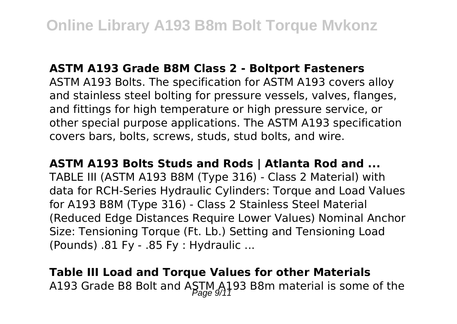#### **ASTM A193 Grade B8M Class 2 - Boltport Fasteners**

ASTM A193 Bolts. The specification for ASTM A193 covers alloy and stainless steel bolting for pressure vessels, valves, flanges, and fittings for high temperature or high pressure service, or other special purpose applications. The ASTM A193 specification covers bars, bolts, screws, studs, stud bolts, and wire.

#### **ASTM A193 Bolts Studs and Rods | Atlanta Rod and ...**

TABLE III (ASTM A193 B8M (Type 316) - Class 2 Material) with data for RCH-Series Hydraulic Cylinders: Torque and Load Values for A193 B8M (Type 316) - Class 2 Stainless Steel Material (Reduced Edge Distances Require Lower Values) Nominal Anchor Size: Tensioning Torque (Ft. Lb.) Setting and Tensioning Load (Pounds) .81 Fy - .85 Fy : Hydraulic ...

# **Table III Load and Torque Values for other Materials** A193 Grade B8 Bolt and ASTM A193 B8m material is some of the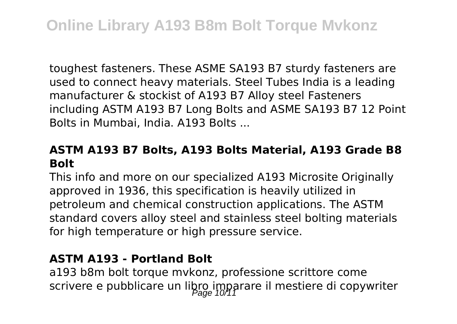toughest fasteners. These ASME SA193 B7 sturdy fasteners are used to connect heavy materials. Steel Tubes India is a leading manufacturer & stockist of A193 B7 Alloy steel Fasteners including ASTM A193 B7 Long Bolts and ASME SA193 B7 12 Point Bolts in Mumbai, India. A193 Bolts ...

#### **ASTM A193 B7 Bolts, A193 Bolts Material, A193 Grade B8 Bolt**

This info and more on our specialized A193 Microsite Originally approved in 1936, this specification is heavily utilized in petroleum and chemical construction applications. The ASTM standard covers alloy steel and stainless steel bolting materials for high temperature or high pressure service.

#### **ASTM A193 - Portland Bolt**

a193 b8m bolt torque mvkonz, professione scrittore come scrivere e pubblicare un libro imparare il mestiere di copywriter